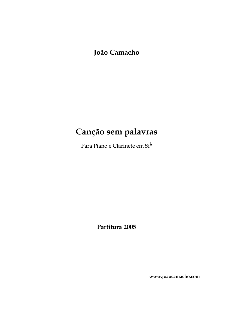**João Camacho**

### **Canção sem palavras**

Para Piano e Clarinete em Si<sup>b</sup>

**Partitura 2005**

**www.joaocamacho.com**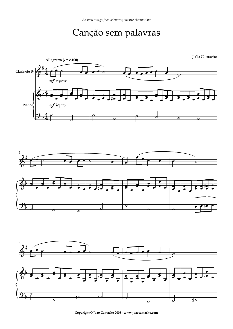## Canção sem palavras



**Copyright © João Camacho 2005 - www.joaocamacho.com**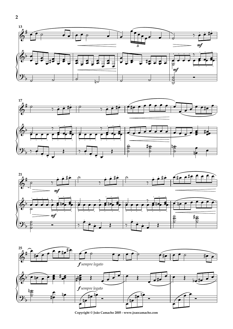







Copyright © João Camacho 2005 - www.joaocamacho.com

 $\overline{2}$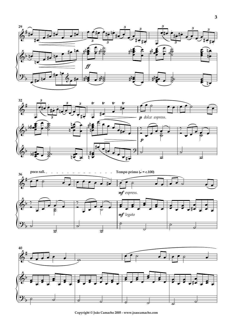







**Copyright © João Camacho 2005 - www.joaocamacho.com**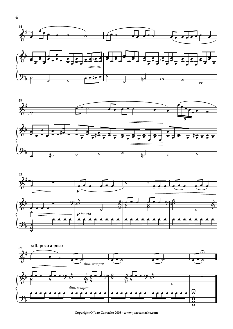







Copyright © João Camacho 2005 - www.joaocamacho.com

 $\overline{\mathbf{4}}$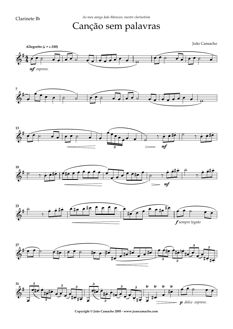# Canção sem palavras



**Copyright © João Camacho 2005 - www.joaocamacho.com**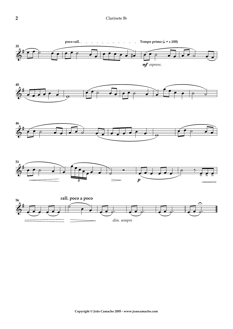#### Clarinete Bb